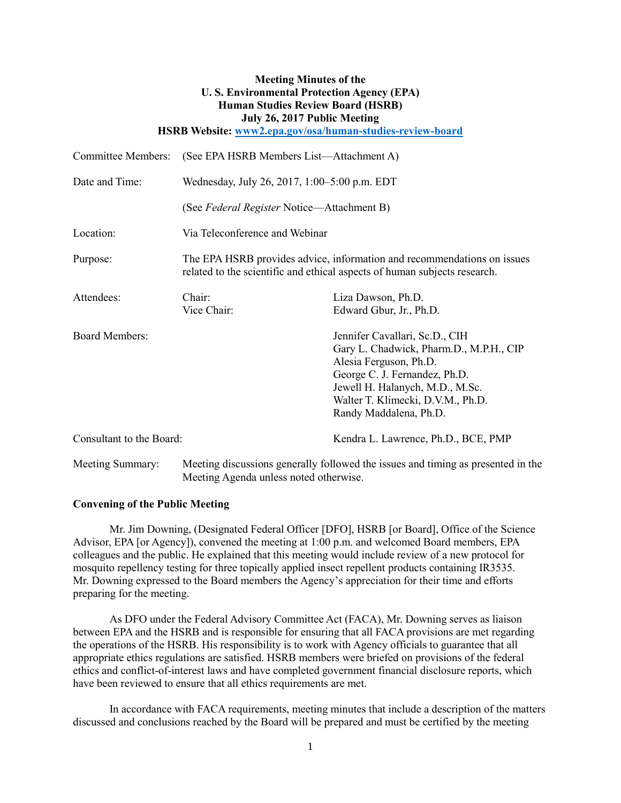# **Meeting Minutes of the U. S. Environmental Protection Agency (EPA) Human Studies Review Board (HSRB) July 26, 2017 Public Meeting**

**HSRB Website: [www2.epa.gov/osa/human-studies-review-board](http://www2.epa.gov/osa/human-studies-review-board)**

| <b>Committee Members:</b> | (See EPA HSRB Members List-Attachment A)                                                                                                             |                                                                                                                                                                                                                                        |
|---------------------------|------------------------------------------------------------------------------------------------------------------------------------------------------|----------------------------------------------------------------------------------------------------------------------------------------------------------------------------------------------------------------------------------------|
| Date and Time:            | Wednesday, July 26, 2017, 1:00–5:00 p.m. EDT                                                                                                         |                                                                                                                                                                                                                                        |
|                           | (See Federal Register Notice—Attachment B)                                                                                                           |                                                                                                                                                                                                                                        |
| Location:                 | Via Teleconference and Webinar                                                                                                                       |                                                                                                                                                                                                                                        |
| Purpose:                  | The EPA HSRB provides advice, information and recommendations on issues<br>related to the scientific and ethical aspects of human subjects research. |                                                                                                                                                                                                                                        |
| Attendees:                | Chair:<br>Vice Chair:                                                                                                                                | Liza Dawson, Ph.D.<br>Edward Gbur, Jr., Ph.D.                                                                                                                                                                                          |
| <b>Board Members:</b>     |                                                                                                                                                      | Jennifer Cavallari, Sc.D., CIH<br>Gary L. Chadwick, Pharm.D., M.P.H., CIP<br>Alesia Ferguson, Ph.D.<br>George C. J. Fernandez, Ph.D.<br>Jewell H. Halanych, M.D., M.Sc.<br>Walter T. Klimecki, D.V.M., Ph.D.<br>Randy Maddalena, Ph.D. |
| Consultant to the Board:  |                                                                                                                                                      | Kendra L. Lawrence, Ph.D., BCE, PMP                                                                                                                                                                                                    |
| Meeting Summary:          | Meeting discussions generally followed the issues and timing as presented in the<br>Meeting Agenda unless noted otherwise.                           |                                                                                                                                                                                                                                        |

## **Convening of the Public Meeting**

Mr. Jim Downing, (Designated Federal Officer [DFO], HSRB [or Board], Office of the Science Advisor, EPA [or Agency]), convened the meeting at 1:00 p.m. and welcomed Board members, EPA colleagues and the public. He explained that this meeting would include review of a new protocol for mosquito repellency testing for three topically applied insect repellent products containing IR3535. Mr. Downing expressed to the Board members the Agency's appreciation for their time and efforts preparing for the meeting.

As DFO under the Federal Advisory Committee Act (FACA), Mr. Downing serves as liaison between EPA and the HSRB and is responsible for ensuring that all FACA provisions are met regarding the operations of the HSRB. His responsibility is to work with Agency officials to guarantee that all appropriate ethics regulations are satisfied. HSRB members were briefed on provisions of the federal ethics and conflict-of-interest laws and have completed government financial disclosure reports, which have been reviewed to ensure that all ethics requirements are met.

In accordance with FACA requirements, meeting minutes that include a description of the matters discussed and conclusions reached by the Board will be prepared and must be certified by the meeting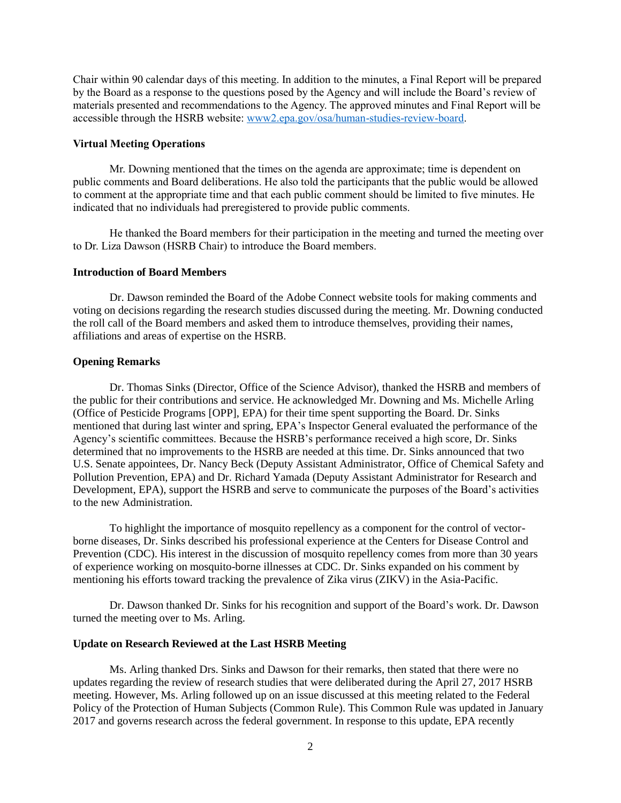Chair within 90 calendar days of this meeting. In addition to the minutes, a Final Report will be prepared by the Board as a response to the questions posed by the Agency and will include the Board's review of materials presented and recommendations to the Agency. The approved minutes and Final Report will be accessible through the HSRB website: [www2.epa.gov/osa/human-studies-review-board.](http://www2.epa.gov/osa/human-studies-review-board)

## **Virtual Meeting Operations**

Mr. Downing mentioned that the times on the agenda are approximate; time is dependent on public comments and Board deliberations. He also told the participants that the public would be allowed to comment at the appropriate time and that each public comment should be limited to five minutes. He indicated that no individuals had preregistered to provide public comments.

He thanked the Board members for their participation in the meeting and turned the meeting over to Dr. Liza Dawson (HSRB Chair) to introduce the Board members.

#### **Introduction of Board Members**

Dr. Dawson reminded the Board of the Adobe Connect website tools for making comments and voting on decisions regarding the research studies discussed during the meeting. Mr. Downing conducted the roll call of the Board members and asked them to introduce themselves, providing their names, affiliations and areas of expertise on the HSRB.

## **Opening Remarks**

Dr. Thomas Sinks (Director, Office of the Science Advisor), thanked the HSRB and members of the public for their contributions and service. He acknowledged Mr. Downing and Ms. Michelle Arling (Office of Pesticide Programs [OPP], EPA) for their time spent supporting the Board. Dr. Sinks mentioned that during last winter and spring, EPA's Inspector General evaluated the performance of the Agency's scientific committees. Because the HSRB's performance received a high score, Dr. Sinks determined that no improvements to the HSRB are needed at this time. Dr. Sinks announced that two U.S. Senate appointees, Dr. Nancy Beck (Deputy Assistant Administrator, Office of Chemical Safety and Pollution Prevention, EPA) and Dr. Richard Yamada (Deputy Assistant Administrator for Research and Development, EPA), support the HSRB and serve to communicate the purposes of the Board's activities to the new Administration.

To highlight the importance of mosquito repellency as a component for the control of vectorborne diseases, Dr. Sinks described his professional experience at the Centers for Disease Control and Prevention (CDC). His interest in the discussion of mosquito repellency comes from more than 30 years of experience working on mosquito-borne illnesses at CDC. Dr. Sinks expanded on his comment by mentioning his efforts toward tracking the prevalence of Zika virus (ZIKV) in the Asia-Pacific.

Dr. Dawson thanked Dr. Sinks for his recognition and support of the Board's work. Dr. Dawson turned the meeting over to Ms. Arling.

## **Update on Research Reviewed at the Last HSRB Meeting**

Ms. Arling thanked Drs. Sinks and Dawson for their remarks, then stated that there were no updates regarding the review of research studies that were deliberated during the April 27, 2017 HSRB meeting. However, Ms. Arling followed up on an issue discussed at this meeting related to the Federal Policy of the Protection of Human Subjects (Common Rule). This Common Rule was updated in January 2017 and governs research across the federal government. In response to this update, EPA recently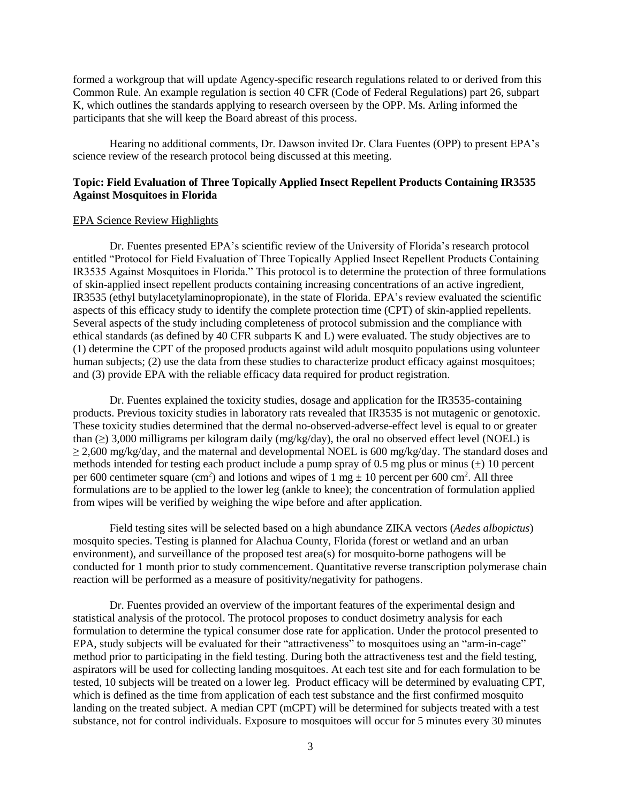formed a workgroup that will update Agency-specific research regulations related to or derived from this Common Rule. An example regulation is section 40 CFR (Code of Federal Regulations) part 26, subpart K, which outlines the standards applying to research overseen by the OPP. Ms. Arling informed the participants that she will keep the Board abreast of this process.

Hearing no additional comments, Dr. Dawson invited Dr. Clara Fuentes (OPP) to present EPA's science review of the research protocol being discussed at this meeting.

## **Topic: Field Evaluation of Three Topically Applied Insect Repellent Products Containing IR3535 Against Mosquitoes in Florida**

#### EPA Science Review Highlights

Dr. Fuentes presented EPA's scientific review of the University of Florida's research protocol entitled "Protocol for Field Evaluation of Three Topically Applied Insect Repellent Products Containing IR3535 Against Mosquitoes in Florida." This protocol is to determine the protection of three formulations of skin-applied insect repellent products containing increasing concentrations of an active ingredient, IR3535 (ethyl butylacetylaminopropionate), in the state of Florida. EPA's review evaluated the scientific aspects of this efficacy study to identify the complete protection time (CPT) of skin-applied repellents. Several aspects of the study including completeness of protocol submission and the compliance with ethical standards (as defined by 40 CFR subparts K and L) were evaluated. The study objectives are to (1) determine the CPT of the proposed products against wild adult mosquito populations using volunteer human subjects; (2) use the data from these studies to characterize product efficacy against mosquitoes; and (3) provide EPA with the reliable efficacy data required for product registration.

Dr. Fuentes explained the toxicity studies, dosage and application for the IR3535-containing products. Previous toxicity studies in laboratory rats revealed that IR3535 is not mutagenic or genotoxic. These toxicity studies determined that the dermal no-observed-adverse-effect level is equal to or greater than (≥) 3,000 milligrams per kilogram daily (mg/kg/day), the oral no observed effect level (NOEL) is  $\geq$  2,600 mg/kg/day, and the maternal and developmental NOEL is 600 mg/kg/day. The standard doses and methods intended for testing each product include a pump spray of 0.5 mg plus or minus  $(\pm)$  10 percent per 600 centimeter square (cm<sup>2</sup>) and lotions and wipes of 1 mg  $\pm$  10 percent per 600 cm<sup>2</sup>. All three formulations are to be applied to the lower leg (ankle to knee); the concentration of formulation applied from wipes will be verified by weighing the wipe before and after application.

Field testing sites will be selected based on a high abundance ZIKA vectors (*Aedes albopictus*) mosquito species. Testing is planned for Alachua County, Florida (forest or wetland and an urban environment), and surveillance of the proposed test area(s) for mosquito-borne pathogens will be conducted for 1 month prior to study commencement. Quantitative reverse transcription polymerase chain reaction will be performed as a measure of positivity/negativity for pathogens.

Dr. Fuentes provided an overview of the important features of the experimental design and statistical analysis of the protocol. The protocol proposes to conduct dosimetry analysis for each formulation to determine the typical consumer dose rate for application. Under the protocol presented to EPA, study subjects will be evaluated for their "attractiveness" to mosquitoes using an "arm-in-cage" method prior to participating in the field testing. During both the attractiveness test and the field testing, aspirators will be used for collecting landing mosquitoes. At each test site and for each formulation to be tested, 10 subjects will be treated on a lower leg. Product efficacy will be determined by evaluating CPT, which is defined as the time from application of each test substance and the first confirmed mosquito landing on the treated subject. A median CPT (mCPT) will be determined for subjects treated with a test substance, not for control individuals. Exposure to mosquitoes will occur for 5 minutes every 30 minutes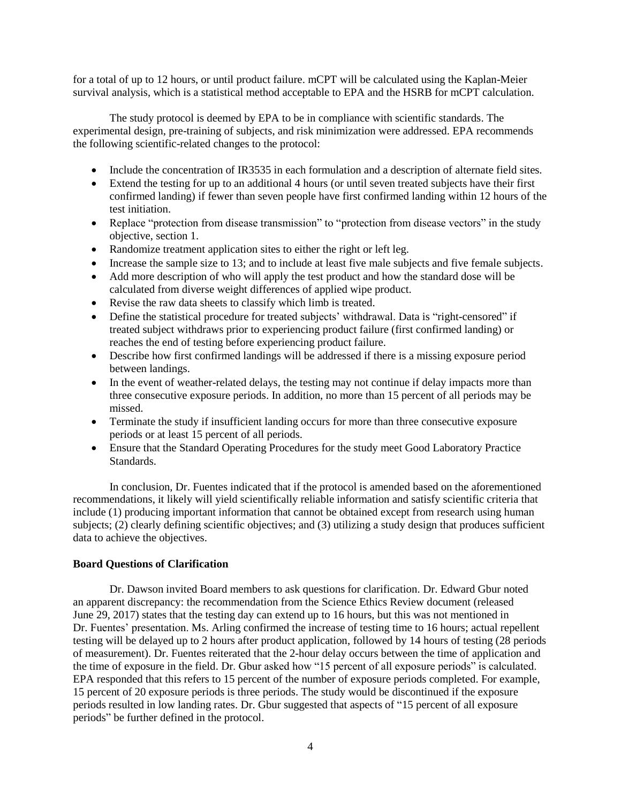for a total of up to 12 hours, or until product failure. mCPT will be calculated using the Kaplan-Meier survival analysis, which is a statistical method acceptable to EPA and the HSRB for mCPT calculation.

The study protocol is deemed by EPA to be in compliance with scientific standards. The experimental design, pre-training of subjects, and risk minimization were addressed. EPA recommends the following scientific-related changes to the protocol:

- Include the concentration of IR3535 in each formulation and a description of alternate field sites.
- Extend the testing for up to an additional 4 hours (or until seven treated subjects have their first confirmed landing) if fewer than seven people have first confirmed landing within 12 hours of the test initiation.
- Replace "protection from disease transmission" to "protection from disease vectors" in the study objective, section 1.
- Randomize treatment application sites to either the right or left leg.
- Increase the sample size to 13; and to include at least five male subjects and five female subjects.
- Add more description of who will apply the test product and how the standard dose will be calculated from diverse weight differences of applied wipe product.
- Revise the raw data sheets to classify which limb is treated.
- Define the statistical procedure for treated subjects' withdrawal. Data is "right-censored" if treated subject withdraws prior to experiencing product failure (first confirmed landing) or reaches the end of testing before experiencing product failure.
- Describe how first confirmed landings will be addressed if there is a missing exposure period between landings.
- In the event of weather-related delays, the testing may not continue if delay impacts more than three consecutive exposure periods. In addition, no more than 15 percent of all periods may be missed.
- Terminate the study if insufficient landing occurs for more than three consecutive exposure periods or at least 15 percent of all periods.
- Ensure that the Standard Operating Procedures for the study meet Good Laboratory Practice Standards.

In conclusion, Dr. Fuentes indicated that if the protocol is amended based on the aforementioned recommendations, it likely will yield scientifically reliable information and satisfy scientific criteria that include (1) producing important information that cannot be obtained except from research using human subjects; (2) clearly defining scientific objectives; and (3) utilizing a study design that produces sufficient data to achieve the objectives.

## **Board Questions of Clarification**

Dr. Dawson invited Board members to ask questions for clarification. Dr. Edward Gbur noted an apparent discrepancy: the recommendation from the Science Ethics Review document (released June 29, 2017) states that the testing day can extend up to 16 hours, but this was not mentioned in Dr. Fuentes' presentation. Ms. Arling confirmed the increase of testing time to 16 hours; actual repellent testing will be delayed up to 2 hours after product application, followed by 14 hours of testing (28 periods of measurement). Dr. Fuentes reiterated that the 2-hour delay occurs between the time of application and the time of exposure in the field. Dr. Gbur asked how "15 percent of all exposure periods" is calculated. EPA responded that this refers to 15 percent of the number of exposure periods completed. For example, 15 percent of 20 exposure periods is three periods. The study would be discontinued if the exposure periods resulted in low landing rates. Dr. Gbur suggested that aspects of "15 percent of all exposure periods" be further defined in the protocol.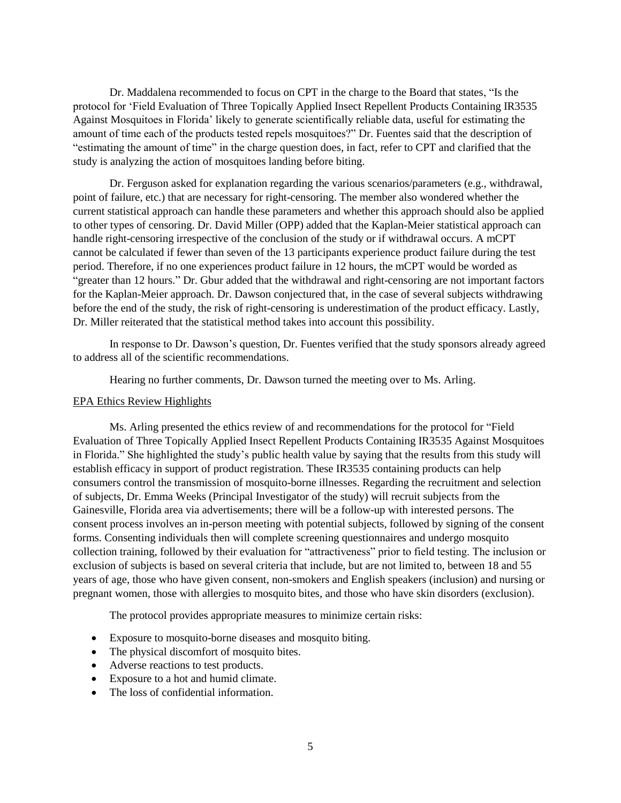Dr. Maddalena recommended to focus on CPT in the charge to the Board that states, "Is the protocol for 'Field Evaluation of Three Topically Applied Insect Repellent Products Containing IR3535 Against Mosquitoes in Florida' likely to generate scientifically reliable data, useful for estimating the amount of time each of the products tested repels mosquitoes?" Dr. Fuentes said that the description of "estimating the amount of time" in the charge question does, in fact, refer to CPT and clarified that the study is analyzing the action of mosquitoes landing before biting.

Dr. Ferguson asked for explanation regarding the various scenarios/parameters (e.g., withdrawal, point of failure, etc.) that are necessary for right-censoring. The member also wondered whether the current statistical approach can handle these parameters and whether this approach should also be applied to other types of censoring. Dr. David Miller (OPP) added that the Kaplan-Meier statistical approach can handle right-censoring irrespective of the conclusion of the study or if withdrawal occurs. A mCPT cannot be calculated if fewer than seven of the 13 participants experience product failure during the test period. Therefore, if no one experiences product failure in 12 hours, the mCPT would be worded as "greater than 12 hours." Dr. Gbur added that the withdrawal and right-censoring are not important factors for the Kaplan-Meier approach. Dr. Dawson conjectured that, in the case of several subjects withdrawing before the end of the study, the risk of right-censoring is underestimation of the product efficacy. Lastly, Dr. Miller reiterated that the statistical method takes into account this possibility.

In response to Dr. Dawson's question, Dr. Fuentes verified that the study sponsors already agreed to address all of the scientific recommendations.

Hearing no further comments, Dr. Dawson turned the meeting over to Ms. Arling.

### EPA Ethics Review Highlights

Ms. Arling presented the ethics review of and recommendations for the protocol for "Field Evaluation of Three Topically Applied Insect Repellent Products Containing IR3535 Against Mosquitoes in Florida." She highlighted the study's public health value by saying that the results from this study will establish efficacy in support of product registration. These IR3535 containing products can help consumers control the transmission of mosquito-borne illnesses. Regarding the recruitment and selection of subjects, Dr. Emma Weeks (Principal Investigator of the study) will recruit subjects from the Gainesville, Florida area via advertisements; there will be a follow-up with interested persons. The consent process involves an in-person meeting with potential subjects, followed by signing of the consent forms. Consenting individuals then will complete screening questionnaires and undergo mosquito collection training, followed by their evaluation for "attractiveness" prior to field testing. The inclusion or exclusion of subjects is based on several criteria that include, but are not limited to, between 18 and 55 years of age, those who have given consent, non-smokers and English speakers (inclusion) and nursing or pregnant women, those with allergies to mosquito bites, and those who have skin disorders (exclusion).

The protocol provides appropriate measures to minimize certain risks:

- Exposure to mosquito-borne diseases and mosquito biting.
- The physical discomfort of mosquito bites.
- Adverse reactions to test products.
- Exposure to a hot and humid climate.
- The loss of confidential information.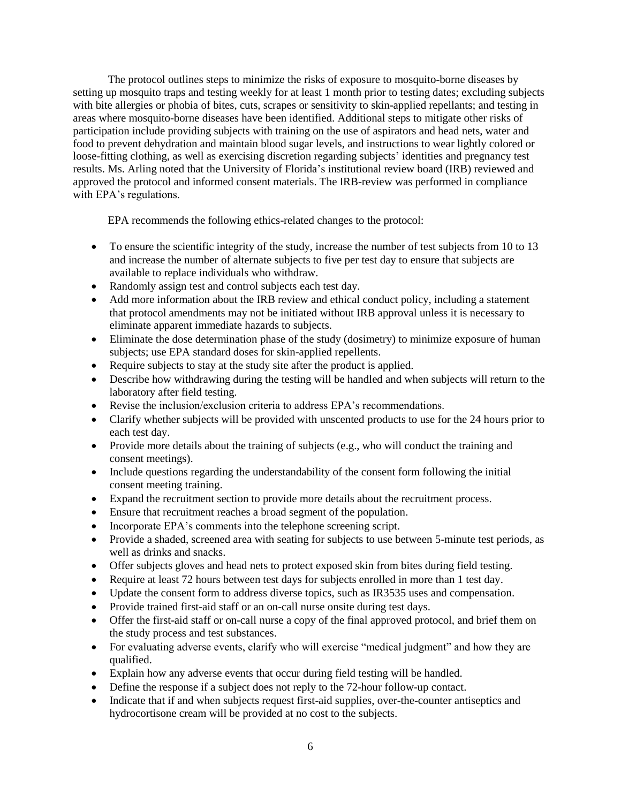The protocol outlines steps to minimize the risks of exposure to mosquito-borne diseases by setting up mosquito traps and testing weekly for at least 1 month prior to testing dates; excluding subjects with bite allergies or phobia of bites, cuts, scrapes or sensitivity to skin-applied repellants; and testing in areas where mosquito-borne diseases have been identified. Additional steps to mitigate other risks of participation include providing subjects with training on the use of aspirators and head nets, water and food to prevent dehydration and maintain blood sugar levels, and instructions to wear lightly colored or loose-fitting clothing, as well as exercising discretion regarding subjects' identities and pregnancy test results. Ms. Arling noted that the University of Florida's institutional review board (IRB) reviewed and approved the protocol and informed consent materials. The IRB-review was performed in compliance with EPA's regulations.

EPA recommends the following ethics-related changes to the protocol:

- To ensure the scientific integrity of the study, increase the number of test subjects from 10 to 13 and increase the number of alternate subjects to five per test day to ensure that subjects are available to replace individuals who withdraw.
- Randomly assign test and control subjects each test day.
- Add more information about the IRB review and ethical conduct policy, including a statement that protocol amendments may not be initiated without IRB approval unless it is necessary to eliminate apparent immediate hazards to subjects.
- Eliminate the dose determination phase of the study (dosimetry) to minimize exposure of human subjects; use EPA standard doses for skin-applied repellents.
- Require subjects to stay at the study site after the product is applied.
- Describe how withdrawing during the testing will be handled and when subjects will return to the laboratory after field testing.
- Revise the inclusion/exclusion criteria to address EPA's recommendations.
- Clarify whether subjects will be provided with unscented products to use for the 24 hours prior to each test day.
- Provide more details about the training of subjects (e.g., who will conduct the training and consent meetings).
- Include questions regarding the understandability of the consent form following the initial consent meeting training.
- Expand the recruitment section to provide more details about the recruitment process.
- Ensure that recruitment reaches a broad segment of the population.
- Incorporate EPA's comments into the telephone screening script.
- Provide a shaded, screened area with seating for subjects to use between 5-minute test periods, as well as drinks and snacks.
- Offer subjects gloves and head nets to protect exposed skin from bites during field testing.
- Require at least 72 hours between test days for subjects enrolled in more than 1 test day.
- Update the consent form to address diverse topics, such as IR3535 uses and compensation.
- Provide trained first-aid staff or an on-call nurse onsite during test days.
- Offer the first-aid staff or on-call nurse a copy of the final approved protocol, and brief them on the study process and test substances.
- For evaluating adverse events, clarify who will exercise "medical judgment" and how they are qualified.
- Explain how any adverse events that occur during field testing will be handled.
- Define the response if a subject does not reply to the 72-hour follow-up contact.
- Indicate that if and when subjects request first-aid supplies, over-the-counter antiseptics and hydrocortisone cream will be provided at no cost to the subjects.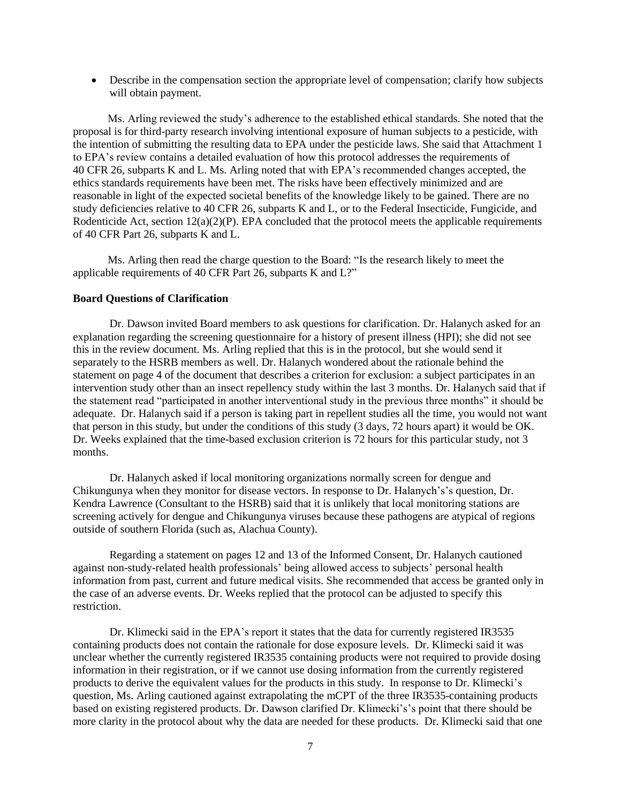Describe in the compensation section the appropriate level of compensation; clarify how subjects will obtain payment.

Ms. Arling reviewed the study's adherence to the established ethical standards. She noted that the proposal is for third-party research involving intentional exposure of human subjects to a pesticide, with the intention of submitting the resulting data to EPA under the pesticide laws. She said that Attachment 1 to EPA's review contains a detailed evaluation of how this protocol addresses the requirements of 40 CFR 26, subparts K and L. Ms. Arling noted that with EPA's recommended changes accepted, the ethics standards requirements have been met. The risks have been effectively minimized and are reasonable in light of the expected societal benefits of the knowledge likely to be gained. There are no study deficiencies relative to 40 CFR 26, subparts K and L, or to the Federal Insecticide, Fungicide, and Rodenticide Act, section  $12(a)(2)(P)$ . EPA concluded that the protocol meets the applicable requirements of 40 CFR Part 26, subparts K and L.

Ms. Arling then read the charge question to the Board: "Is the research likely to meet the applicable requirements of 40 CFR Part 26, subparts K and L?"

#### **Board Questions of Clarification**

Dr. Dawson invited Board members to ask questions for clarification. Dr. Halanych asked for an explanation regarding the screening questionnaire for a history of present illness (HPI); she did not see this in the review document. Ms. Arling replied that this is in the protocol, but she would send it separately to the HSRB members as well. Dr. Halanych wondered about the rationale behind the statement on page 4 of the document that describes a criterion for exclusion: a subject participates in an intervention study other than an insect repellency study within the last 3 months. Dr. Halanych said that if the statement read "participated in another interventional study in the previous three months" it should be adequate. Dr. Halanych said if a person is taking part in repellent studies all the time, you would not want that person in this study, but under the conditions of this study (3 days, 72 hours apart) it would be OK. Dr. Weeks explained that the time-based exclusion criterion is 72 hours for this particular study, not 3 months.

Dr. Halanych asked if local monitoring organizations normally screen for dengue and Chikungunya when they monitor for disease vectors. In response to Dr. Halanych's's question, Dr. Kendra Lawrence (Consultant to the HSRB) said that it is unlikely that local monitoring stations are screening actively for dengue and Chikungunya viruses because these pathogens are atypical of regions outside of southern Florida (such as, Alachua County).

Regarding a statement on pages 12 and 13 of the Informed Consent, Dr. Halanych cautioned against non-study-related health professionals' being allowed access to subjects' personal health information from past, current and future medical visits. She recommended that access be granted only in the case of an adverse events. Dr. Weeks replied that the protocol can be adjusted to specify this restriction.

Dr. Klimecki said in the EPA's report it states that the data for currently registered IR3535 containing products does not contain the rationale for dose exposure levels. Dr. Klimecki said it was unclear whether the currently registered IR3535 containing products were not required to provide dosing information in their registration, or if we cannot use dosing information from the currently registered products to derive the equivalent values for the products in this study. In response to Dr. Klimecki's question, Ms. Arling cautioned against extrapolating the mCPT of the three IR3535-containing products based on existing registered products. Dr. Dawson clarified Dr. Klimecki's's point that there should be more clarity in the protocol about why the data are needed for these products. Dr. Klimecki said that one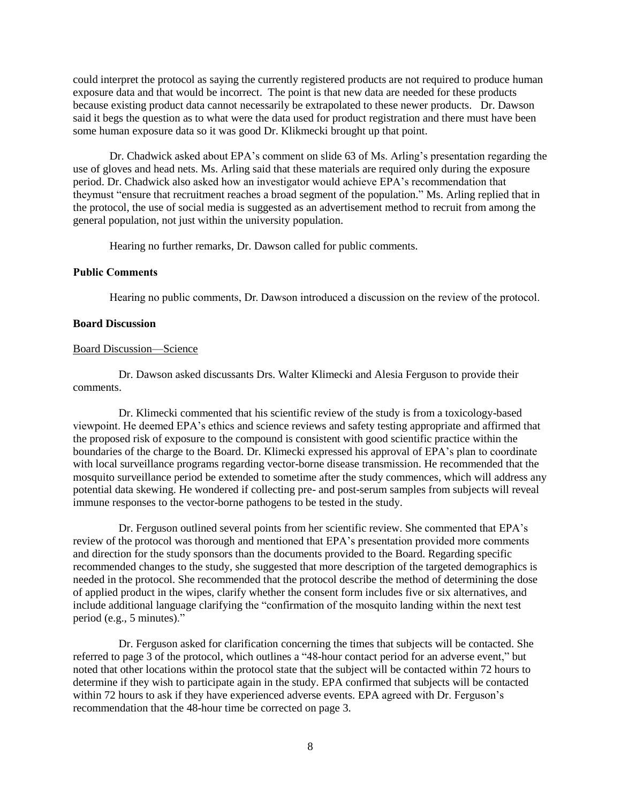could interpret the protocol as saying the currently registered products are not required to produce human exposure data and that would be incorrect. The point is that new data are needed for these products because existing product data cannot necessarily be extrapolated to these newer products. Dr. Dawson said it begs the question as to what were the data used for product registration and there must have been some human exposure data so it was good Dr. Klikmecki brought up that point.

Dr. Chadwick asked about EPA's comment on slide 63 of Ms. Arling's presentation regarding the use of gloves and head nets. Ms. Arling said that these materials are required only during the exposure period. Dr. Chadwick also asked how an investigator would achieve EPA's recommendation that theymust "ensure that recruitment reaches a broad segment of the population." Ms. Arling replied that in the protocol, the use of social media is suggested as an advertisement method to recruit from among the general population, not just within the university population.

Hearing no further remarks, Dr. Dawson called for public comments.

## **Public Comments**

Hearing no public comments, Dr. Dawson introduced a discussion on the review of the protocol.

## **Board Discussion**

## Board Discussion—Science

Dr. Dawson asked discussants Drs. Walter Klimecki and Alesia Ferguson to provide their comments.

Dr. Klimecki commented that his scientific review of the study is from a toxicology-based viewpoint. He deemed EPA's ethics and science reviews and safety testing appropriate and affirmed that the proposed risk of exposure to the compound is consistent with good scientific practice within the boundaries of the charge to the Board. Dr. Klimecki expressed his approval of EPA's plan to coordinate with local surveillance programs regarding vector-borne disease transmission. He recommended that the mosquito surveillance period be extended to sometime after the study commences, which will address any potential data skewing. He wondered if collecting pre- and post-serum samples from subjects will reveal immune responses to the vector-borne pathogens to be tested in the study.

Dr. Ferguson outlined several points from her scientific review. She commented that EPA's review of the protocol was thorough and mentioned that EPA's presentation provided more comments and direction for the study sponsors than the documents provided to the Board. Regarding specific recommended changes to the study, she suggested that more description of the targeted demographics is needed in the protocol. She recommended that the protocol describe the method of determining the dose of applied product in the wipes, clarify whether the consent form includes five or six alternatives, and include additional language clarifying the "confirmation of the mosquito landing within the next test period (e.g., 5 minutes)."

Dr. Ferguson asked for clarification concerning the times that subjects will be contacted. She referred to page 3 of the protocol, which outlines a "48-hour contact period for an adverse event," but noted that other locations within the protocol state that the subject will be contacted within 72 hours to determine if they wish to participate again in the study. EPA confirmed that subjects will be contacted within 72 hours to ask if they have experienced adverse events. EPA agreed with Dr. Ferguson's recommendation that the 48-hour time be corrected on page 3.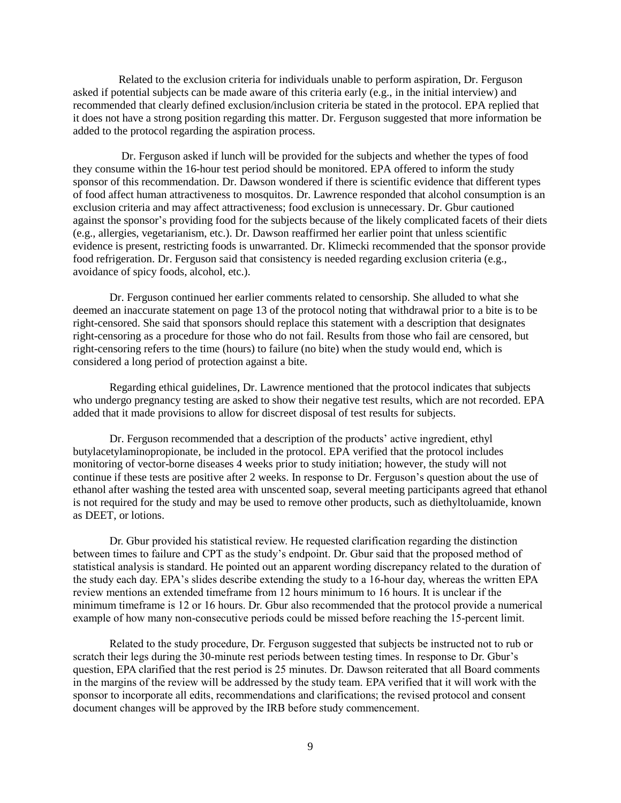Related to the exclusion criteria for individuals unable to perform aspiration, Dr. Ferguson asked if potential subjects can be made aware of this criteria early (e.g., in the initial interview) and recommended that clearly defined exclusion/inclusion criteria be stated in the protocol. EPA replied that it does not have a strong position regarding this matter. Dr. Ferguson suggested that more information be added to the protocol regarding the aspiration process.

Dr. Ferguson asked if lunch will be provided for the subjects and whether the types of food they consume within the 16-hour test period should be monitored. EPA offered to inform the study sponsor of this recommendation. Dr. Dawson wondered if there is scientific evidence that different types of food affect human attractiveness to mosquitos. Dr. Lawrence responded that alcohol consumption is an exclusion criteria and may affect attractiveness; food exclusion is unnecessary. Dr. Gbur cautioned against the sponsor's providing food for the subjects because of the likely complicated facets of their diets (e.g., allergies, vegetarianism, etc.). Dr. Dawson reaffirmed her earlier point that unless scientific evidence is present, restricting foods is unwarranted. Dr. Klimecki recommended that the sponsor provide food refrigeration. Dr. Ferguson said that consistency is needed regarding exclusion criteria (e.g., avoidance of spicy foods, alcohol, etc.).

Dr. Ferguson continued her earlier comments related to censorship. She alluded to what she deemed an inaccurate statement on page 13 of the protocol noting that withdrawal prior to a bite is to be right-censored. She said that sponsors should replace this statement with a description that designates right-censoring as a procedure for those who do not fail. Results from those who fail are censored, but right-censoring refers to the time (hours) to failure (no bite) when the study would end, which is considered a long period of protection against a bite.

Regarding ethical guidelines, Dr. Lawrence mentioned that the protocol indicates that subjects who undergo pregnancy testing are asked to show their negative test results, which are not recorded. EPA added that it made provisions to allow for discreet disposal of test results for subjects.

Dr. Ferguson recommended that a description of the products' active ingredient, ethyl butylacetylaminopropionate, be included in the protocol. EPA verified that the protocol includes monitoring of vector-borne diseases 4 weeks prior to study initiation; however, the study will not continue if these tests are positive after 2 weeks. In response to Dr. Ferguson's question about the use of ethanol after washing the tested area with unscented soap, several meeting participants agreed that ethanol is not required for the study and may be used to remove other products, such as diethyltoluamide, known as DEET, or lotions.

Dr. Gbur provided his statistical review. He requested clarification regarding the distinction between times to failure and CPT as the study's endpoint. Dr. Gbur said that the proposed method of statistical analysis is standard. He pointed out an apparent wording discrepancy related to the duration of the study each day. EPA's slides describe extending the study to a 16-hour day, whereas the written EPA review mentions an extended timeframe from 12 hours minimum to 16 hours. It is unclear if the minimum timeframe is 12 or 16 hours. Dr. Gbur also recommended that the protocol provide a numerical example of how many non-consecutive periods could be missed before reaching the 15-percent limit.

Related to the study procedure, Dr. Ferguson suggested that subjects be instructed not to rub or scratch their legs during the 30-minute rest periods between testing times. In response to Dr. Gbur's question, EPA clarified that the rest period is 25 minutes. Dr. Dawson reiterated that all Board comments in the margins of the review will be addressed by the study team. EPA verified that it will work with the sponsor to incorporate all edits, recommendations and clarifications; the revised protocol and consent document changes will be approved by the IRB before study commencement.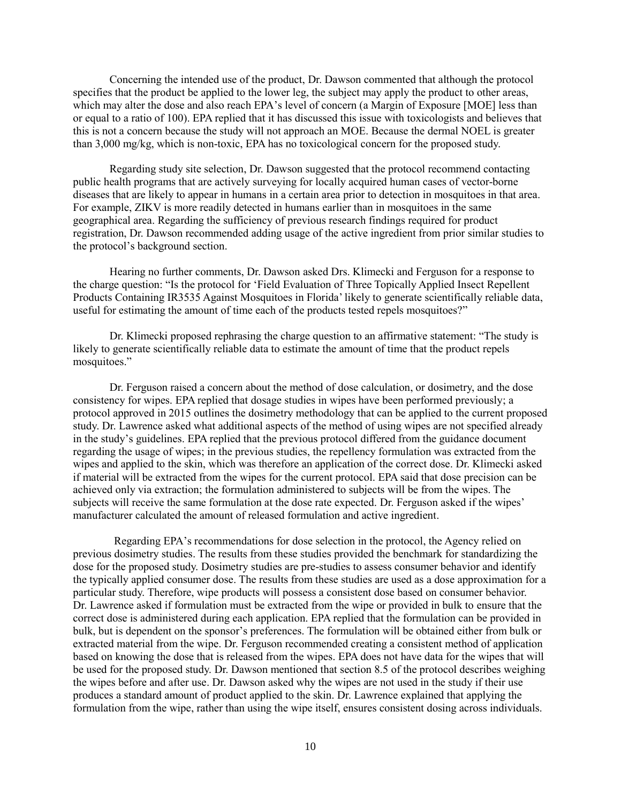Concerning the intended use of the product, Dr. Dawson commented that although the protocol specifies that the product be applied to the lower leg, the subject may apply the product to other areas, which may alter the dose and also reach EPA's level of concern (a Margin of Exposure [MOE] less than or equal to a ratio of 100). EPA replied that it has discussed this issue with toxicologists and believes that this is not a concern because the study will not approach an MOE. Because the dermal NOEL is greater than 3,000 mg/kg, which is non-toxic, EPA has no toxicological concern for the proposed study.

Regarding study site selection, Dr. Dawson suggested that the protocol recommend contacting public health programs that are actively surveying for locally acquired human cases of vector-borne diseases that are likely to appear in humans in a certain area prior to detection in mosquitoes in that area. For example, ZIKV is more readily detected in humans earlier than in mosquitoes in the same geographical area. Regarding the sufficiency of previous research findings required for product registration, Dr. Dawson recommended adding usage of the active ingredient from prior similar studies to the protocol's background section.

Hearing no further comments, Dr. Dawson asked Drs. Klimecki and Ferguson for a response to the charge question: "Is the protocol for 'Field Evaluation of Three Topically Applied Insect Repellent Products Containing IR3535 Against Mosquitoes in Florida' likely to generate scientifically reliable data, useful for estimating the amount of time each of the products tested repels mosquitoes?"

Dr. Klimecki proposed rephrasing the charge question to an affirmative statement: "The study is likely to generate scientifically reliable data to estimate the amount of time that the product repels mosquitoes."

Dr. Ferguson raised a concern about the method of dose calculation, or dosimetry, and the dose consistency for wipes. EPA replied that dosage studies in wipes have been performed previously; a protocol approved in 2015 outlines the dosimetry methodology that can be applied to the current proposed study. Dr. Lawrence asked what additional aspects of the method of using wipes are not specified already in the study's guidelines. EPA replied that the previous protocol differed from the guidance document regarding the usage of wipes; in the previous studies, the repellency formulation was extracted from the wipes and applied to the skin, which was therefore an application of the correct dose. Dr. Klimecki asked if material will be extracted from the wipes for the current protocol. EPA said that dose precision can be achieved only via extraction; the formulation administered to subjects will be from the wipes. The subjects will receive the same formulation at the dose rate expected. Dr. Ferguson asked if the wipes' manufacturer calculated the amount of released formulation and active ingredient.

Regarding EPA's recommendations for dose selection in the protocol, the Agency relied on previous dosimetry studies. The results from these studies provided the benchmark for standardizing the dose for the proposed study. Dosimetry studies are pre-studies to assess consumer behavior and identify the typically applied consumer dose. The results from these studies are used as a dose approximation for a particular study. Therefore, wipe products will possess a consistent dose based on consumer behavior. Dr. Lawrence asked if formulation must be extracted from the wipe or provided in bulk to ensure that the correct dose is administered during each application. EPA replied that the formulation can be provided in bulk, but is dependent on the sponsor's preferences. The formulation will be obtained either from bulk or extracted material from the wipe. Dr. Ferguson recommended creating a consistent method of application based on knowing the dose that is released from the wipes. EPA does not have data for the wipes that will be used for the proposed study. Dr. Dawson mentioned that section 8.5 of the protocol describes weighing the wipes before and after use. Dr. Dawson asked why the wipes are not used in the study if their use produces a standard amount of product applied to the skin. Dr. Lawrence explained that applying the formulation from the wipe, rather than using the wipe itself, ensures consistent dosing across individuals.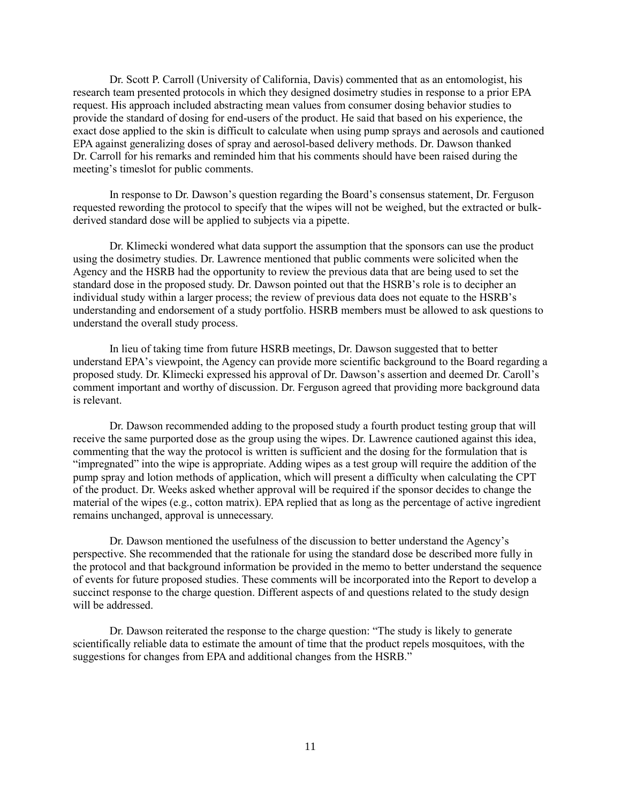Dr. Scott P. Carroll (University of California, Davis) commented that as an entomologist, his research team presented protocols in which they designed dosimetry studies in response to a prior EPA request. His approach included abstracting mean values from consumer dosing behavior studies to provide the standard of dosing for end-users of the product. He said that based on his experience, the exact dose applied to the skin is difficult to calculate when using pump sprays and aerosols and cautioned EPA against generalizing doses of spray and aerosol-based delivery methods. Dr. Dawson thanked Dr. Carroll for his remarks and reminded him that his comments should have been raised during the meeting's timeslot for public comments.

In response to Dr. Dawson's question regarding the Board's consensus statement, Dr. Ferguson requested rewording the protocol to specify that the wipes will not be weighed, but the extracted or bulkderived standard dose will be applied to subjects via a pipette.

Dr. Klimecki wondered what data support the assumption that the sponsors can use the product using the dosimetry studies. Dr. Lawrence mentioned that public comments were solicited when the Agency and the HSRB had the opportunity to review the previous data that are being used to set the standard dose in the proposed study. Dr. Dawson pointed out that the HSRB's role is to decipher an individual study within a larger process; the review of previous data does not equate to the HSRB's understanding and endorsement of a study portfolio. HSRB members must be allowed to ask questions to understand the overall study process.

In lieu of taking time from future HSRB meetings, Dr. Dawson suggested that to better understand EPA's viewpoint, the Agency can provide more scientific background to the Board regarding a proposed study. Dr. Klimecki expressed his approval of Dr. Dawson's assertion and deemed Dr. Caroll's comment important and worthy of discussion. Dr. Ferguson agreed that providing more background data is relevant.

Dr. Dawson recommended adding to the proposed study a fourth product testing group that will receive the same purported dose as the group using the wipes. Dr. Lawrence cautioned against this idea, commenting that the way the protocol is written is sufficient and the dosing for the formulation that is "impregnated" into the wipe is appropriate. Adding wipes as a test group will require the addition of the pump spray and lotion methods of application, which will present a difficulty when calculating the CPT of the product. Dr. Weeks asked whether approval will be required if the sponsor decides to change the material of the wipes (e.g., cotton matrix). EPA replied that as long as the percentage of active ingredient remains unchanged, approval is unnecessary.

Dr. Dawson mentioned the usefulness of the discussion to better understand the Agency's perspective. She recommended that the rationale for using the standard dose be described more fully in the protocol and that background information be provided in the memo to better understand the sequence of events for future proposed studies. These comments will be incorporated into the Report to develop a succinct response to the charge question. Different aspects of and questions related to the study design will be addressed.

Dr. Dawson reiterated the response to the charge question: "The study is likely to generate scientifically reliable data to estimate the amount of time that the product repels mosquitoes, with the suggestions for changes from EPA and additional changes from the HSRB."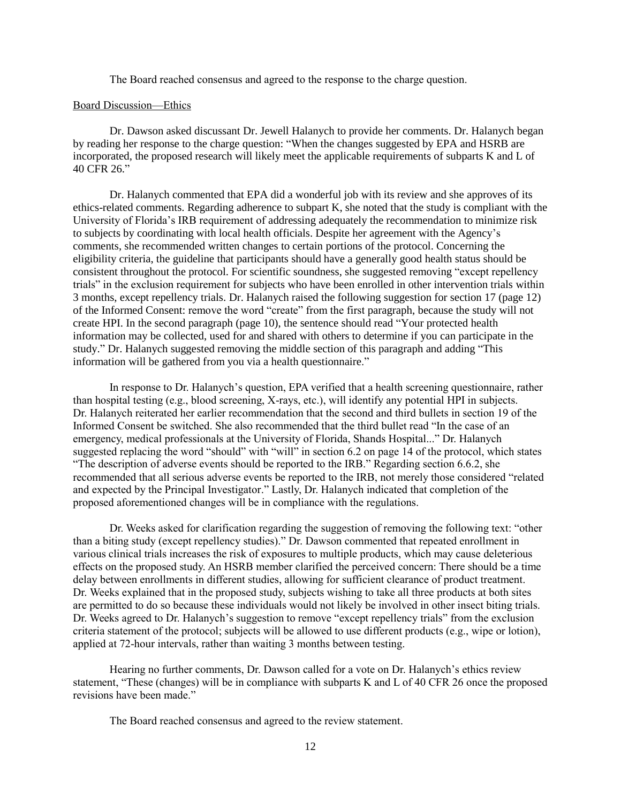The Board reached consensus and agreed to the response to the charge question.

#### Board Discussion—Ethics

Dr. Dawson asked discussant Dr. Jewell Halanych to provide her comments. Dr. Halanych began by reading her response to the charge question: "When the changes suggested by EPA and HSRB are incorporated, the proposed research will likely meet the applicable requirements of subparts K and L of 40 CFR 26."

Dr. Halanych commented that EPA did a wonderful job with its review and she approves of its ethics-related comments. Regarding adherence to subpart K, she noted that the study is compliant with the University of Florida's IRB requirement of addressing adequately the recommendation to minimize risk to subjects by coordinating with local health officials. Despite her agreement with the Agency's comments, she recommended written changes to certain portions of the protocol. Concerning the eligibility criteria, the guideline that participants should have a generally good health status should be consistent throughout the protocol. For scientific soundness, she suggested removing "except repellency trials" in the exclusion requirement for subjects who have been enrolled in other intervention trials within 3 months, except repellency trials. Dr. Halanych raised the following suggestion for section 17 (page 12) of the Informed Consent: remove the word "create" from the first paragraph, because the study will not create HPI. In the second paragraph (page 10), the sentence should read "Your protected health information may be collected, used for and shared with others to determine if you can participate in the study." Dr. Halanych suggested removing the middle section of this paragraph and adding "This information will be gathered from you via a health questionnaire."

In response to Dr. Halanych's question, EPA verified that a health screening questionnaire, rather than hospital testing (e.g., blood screening, X-rays, etc.), will identify any potential HPI in subjects. Dr. Halanych reiterated her earlier recommendation that the second and third bullets in section 19 of the Informed Consent be switched. She also recommended that the third bullet read "In the case of an emergency, medical professionals at the University of Florida, Shands Hospital..." Dr. Halanych suggested replacing the word "should" with "will" in section 6.2 on page 14 of the protocol, which states "The description of adverse events should be reported to the IRB." Regarding section 6.6.2, she recommended that all serious adverse events be reported to the IRB, not merely those considered "related and expected by the Principal Investigator." Lastly, Dr. Halanych indicated that completion of the proposed aforementioned changes will be in compliance with the regulations.

Dr. Weeks asked for clarification regarding the suggestion of removing the following text: "other than a biting study (except repellency studies)." Dr. Dawson commented that repeated enrollment in various clinical trials increases the risk of exposures to multiple products, which may cause deleterious effects on the proposed study. An HSRB member clarified the perceived concern: There should be a time delay between enrollments in different studies, allowing for sufficient clearance of product treatment. Dr. Weeks explained that in the proposed study, subjects wishing to take all three products at both sites are permitted to do so because these individuals would not likely be involved in other insect biting trials. Dr. Weeks agreed to Dr. Halanych's suggestion to remove "except repellency trials" from the exclusion criteria statement of the protocol; subjects will be allowed to use different products (e.g., wipe or lotion), applied at 72-hour intervals, rather than waiting 3 months between testing.

Hearing no further comments, Dr. Dawson called for a vote on Dr. Halanych's ethics review statement, "These (changes) will be in compliance with subparts K and L of 40 CFR 26 once the proposed revisions have been made."

The Board reached consensus and agreed to the review statement.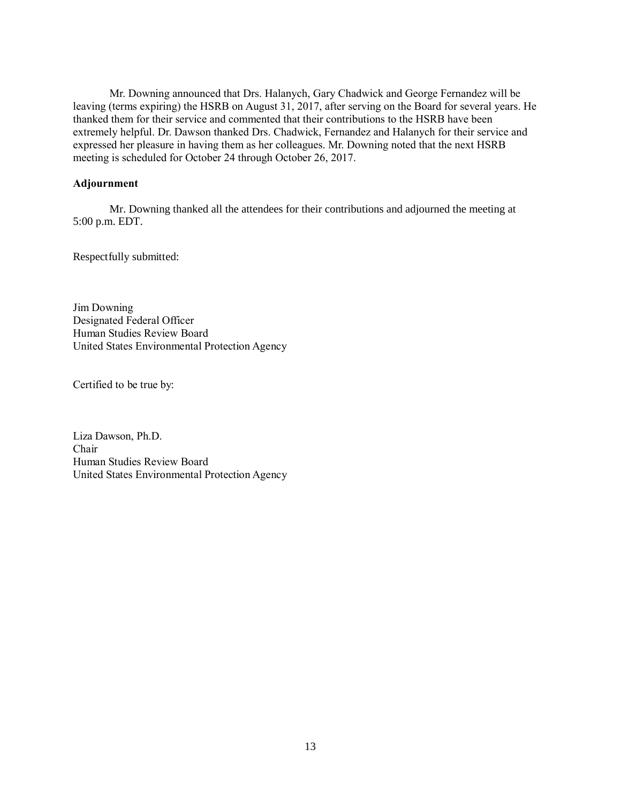Mr. Downing announced that Drs. Halanych, Gary Chadwick and George Fernandez will be leaving (terms expiring) the HSRB on August 31, 2017, after serving on the Board for several years. He thanked them for their service and commented that their contributions to the HSRB have been extremely helpful. Dr. Dawson thanked Drs. Chadwick, Fernandez and Halanych for their service and expressed her pleasure in having them as her colleagues. Mr. Downing noted that the next HSRB meeting is scheduled for October 24 through October 26, 2017.

## **Adjournment**

Mr. Downing thanked all the attendees for their contributions and adjourned the meeting at 5:00 p.m. EDT.

Respectfully submitted:

Jim Downing Designated Federal Officer Human Studies Review Board United States Environmental Protection Agency

Certified to be true by:

Liza Dawson, Ph.D. Chair Human Studies Review Board United States Environmental Protection Agency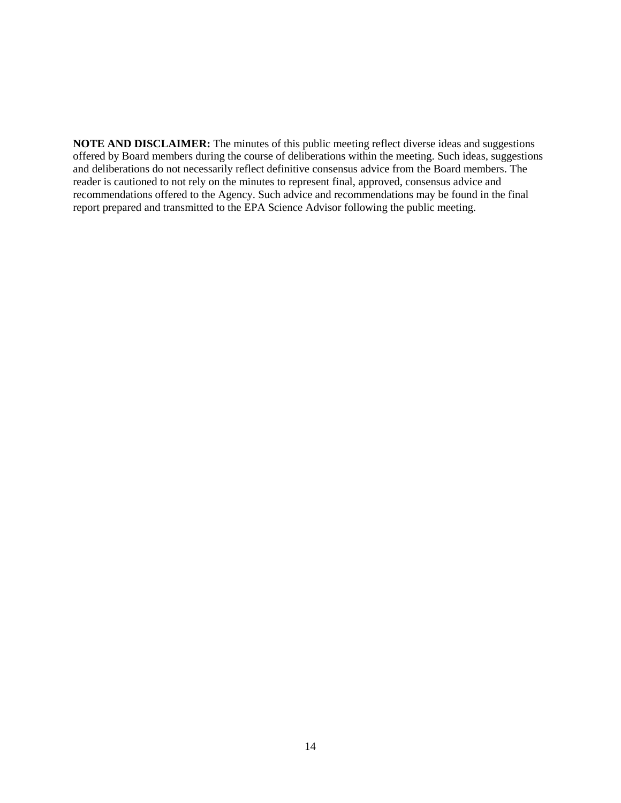**NOTE AND DISCLAIMER:** The minutes of this public meeting reflect diverse ideas and suggestions offered by Board members during the course of deliberations within the meeting. Such ideas, suggestions and deliberations do not necessarily reflect definitive consensus advice from the Board members. The reader is cautioned to not rely on the minutes to represent final, approved, consensus advice and recommendations offered to the Agency. Such advice and recommendations may be found in the final report prepared and transmitted to the EPA Science Advisor following the public meeting.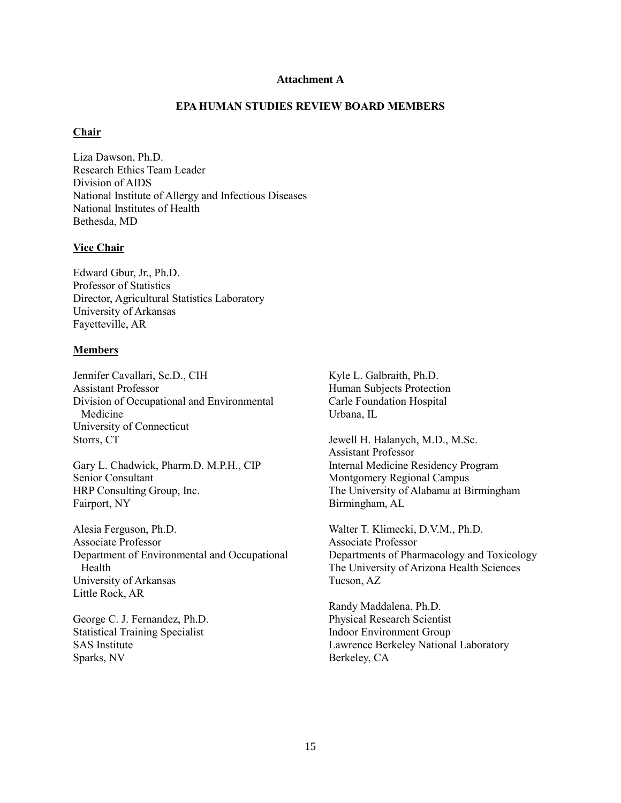### **Attachment A**

## **EPA HUMAN STUDIES REVIEW BOARD MEMBERS**

# **Chair**

Liza Dawson, Ph.D. Research Ethics Team Leader Division of AIDS National Institute of Allergy and Infectious Diseases National Institutes of Health Bethesda, MD

## **Vice Chair**

Edward Gbur, Jr., Ph.D. Professor of Statistics Director, Agricultural Statistics Laboratory University of Arkansas Fayetteville, AR

## **Members**

Jennifer Cavallari, Sc.D., CIH Assistant Professor Division of Occupational and Environmental Medicine University of Connecticut Storrs, CT

Gary L. Chadwick, Pharm.D. M.P.H., CIP Senior Consultant HRP Consulting Group, Inc. Fairport, NY

Alesia Ferguson, Ph.D. Associate Professor Department of Environmental and Occupational Health University of Arkansas Little Rock, AR

George C. J. Fernandez, Ph.D. Statistical Training Specialist SAS Institute Sparks, NV

Kyle L. Galbraith, Ph.D. Human Subjects Protection Carle Foundation Hospital Urbana, IL

Jewell H. Halanych, M.D., M.Sc. Assistant Professor Internal Medicine Residency Program Montgomery Regional Campus The University of Alabama at Birmingham Birmingham, AL

Walter T. Klimecki, D.V.M., Ph.D. Associate Professor Departments of Pharmacology and Toxicology The University of Arizona Health Sciences Tucson, AZ

Randy Maddalena, Ph.D. Physical Research Scientist Indoor Environment Group Lawrence Berkeley National Laboratory Berkeley, CA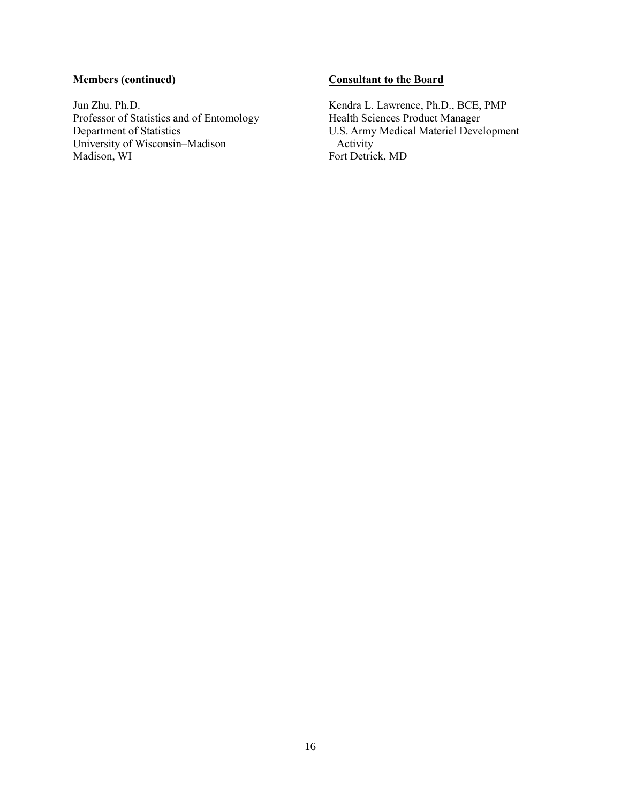# **Members (continued)**

Jun Zhu, Ph.D. Professor of Statistics and of Entomology Department of Statistics University of Wisconsin–Madison Madison, WI

# **Consultant to the Board**

Kendra L. Lawrence, Ph.D., BCE, PMP Health Sciences Product Manager U.S. Army Medical Materiel Development Activity Fort Detrick, MD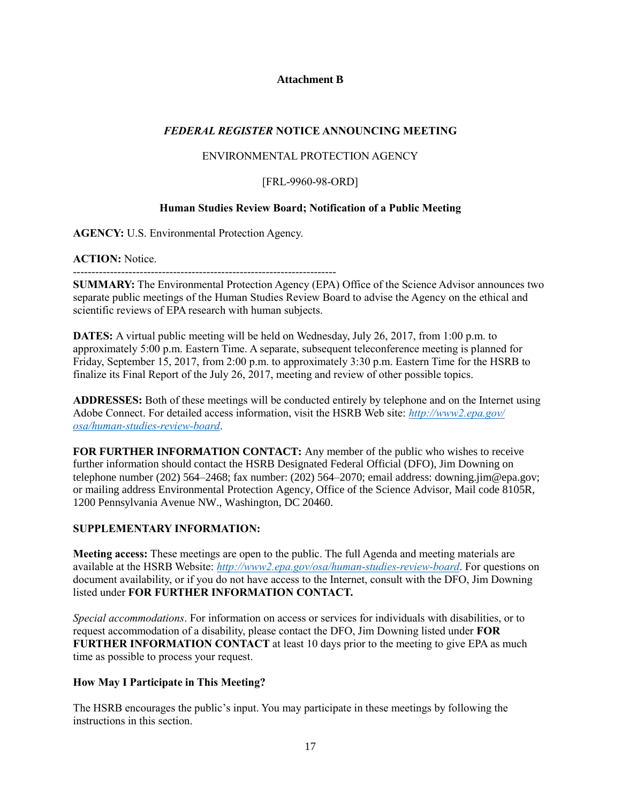# **Attachment B**

# *FEDERAL REGISTER* **NOTICE ANNOUNCING MEETING**

# ENVIRONMENTAL PROTECTION AGENCY

# [FRL-9960-98-ORD]

# **Human Studies Review Board; Notification of a Public Meeting**

**AGENCY:** U.S. Environmental Protection Agency.

**ACTION:** Notice.

-----------------------------------------------------------------------

**SUMMARY:** The Environmental Protection Agency (EPA) Office of the Science Advisor announces two separate public meetings of the Human Studies Review Board to advise the Agency on the ethical and scientific reviews of EPA research with human subjects.

**DATES:** A virtual public meeting will be held on Wednesday, July 26, 2017, from 1:00 p.m. to approximately 5:00 p.m. Eastern Time. A separate, subsequent teleconference meeting is planned for Friday, September 15, 2017, from 2:00 p.m. to approximately 3:30 p.m. Eastern Time for the HSRB to finalize its Final Report of the July 26, 2017, meeting and review of other possible topics.

**ADDRESSES:** Both of these meetings will be conducted entirely by telephone and on the Internet using Adobe Connect. For detailed access information, visit the HSRB Web site: *[http://www2.epa.gov/](http://www2.epa.gov/​osa/human-studies-review-board) [osa/human-studies-review-board](http://www2.epa.gov/​osa/human-studies-review-board)*.

**FOR FURTHER INFORMATION CONTACT:** Any member of the public who wishes to receive further information should contact the HSRB Designated Federal Official (DFO), Jim Downing on telephone number (202) 564–2468; fax number: (202) 564–2070; email address: [downing.jim@epa.gov;](mailto:downing.jim@epa.gov) or mailing address Environmental Protection Agency, Office of the Science Advisor, Mail code 8105R, 1200 Pennsylvania Avenue NW., Washington, DC 20460.

# **SUPPLEMENTARY INFORMATION:**

**Meeting access:** These meetings are open to the public. The full Agenda and meeting materials are available at the HSRB Website: *[http://www2.epa.gov/osa/human-studies-review-board](http://www2.epa.gov/​osa/human-studies-review-board)*. For questions on document availability, or if you do not have access to the Internet, consult with the DFO, Jim Downing listed under **FOR FURTHER INFORMATION CONTACT.**

*Special accommodations*. For information on access or services for individuals with disabilities, or to request accommodation of a disability, please contact the DFO, Jim Downing listed under **FOR FURTHER INFORMATION CONTACT** at least 10 days prior to the meeting to give EPA as much time as possible to process your request.

# **How May I Participate in This Meeting?**

The HSRB encourages the public's input. You may participate in these meetings by following the instructions in this section.